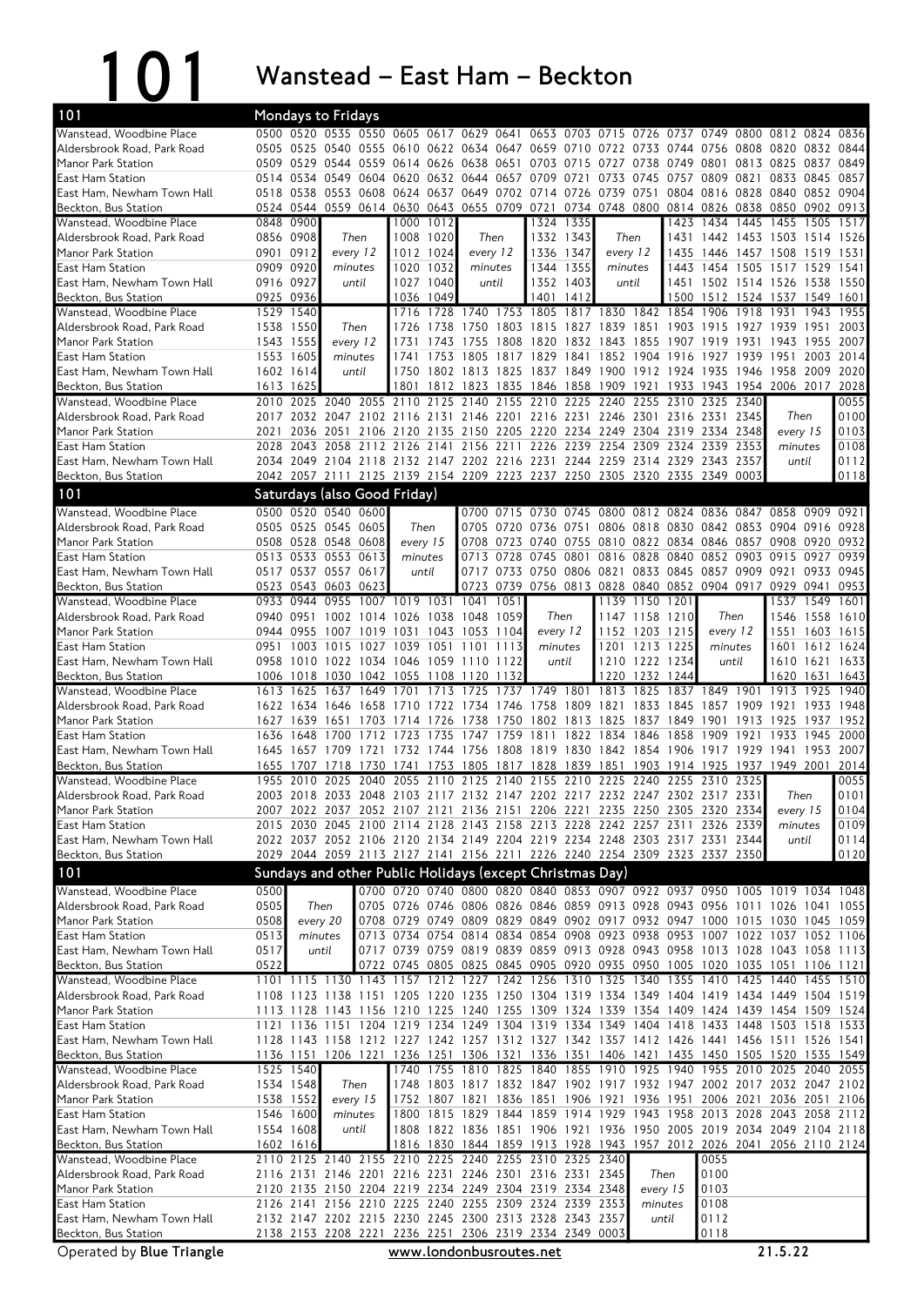101 Wanstead – East Ham – Beckton

| 101                                                     |              |                                                        | <b>Mondays to Fridays</b>                  |           |                                                                                                                                                          |              |                                                   |                |                                            |           |                                            |                |                  |                               |           |                                                                                                                                                                                   |              |              |
|---------------------------------------------------------|--------------|--------------------------------------------------------|--------------------------------------------|-----------|----------------------------------------------------------------------------------------------------------------------------------------------------------|--------------|---------------------------------------------------|----------------|--------------------------------------------|-----------|--------------------------------------------|----------------|------------------|-------------------------------|-----------|-----------------------------------------------------------------------------------------------------------------------------------------------------------------------------------|--------------|--------------|
| Wanstead, Woodbine Place                                |              | 0500 0520                                              | 0535                                       |           | 0550 0605 0617                                                                                                                                           |              |                                                   |                | 0629 0641 0653 0703 0715 0726 0737         |           |                                            |                |                  | 0749                          |           | 0800 0812                                                                                                                                                                         |              | 0824 0836    |
| Aldersbrook Road, Park Road                             |              |                                                        |                                            |           | 0505 0525 0540 0555 0610 0622 0634 0647 0659 0710 0722 0733                                                                                              |              |                                                   |                |                                            |           |                                            |                | 0744 0756        |                               |           | 0808 0820                                                                                                                                                                         | 0832         | 0844         |
| Manor Park Station                                      |              |                                                        |                                            |           | 0509 0529 0544 0559 0614 0626 0638 0651 0703 0715 0727 0738                                                                                              |              |                                                   |                |                                            |           |                                            |                | 0749             | 0801                          |           | 0813 0825                                                                                                                                                                         |              | 0837 0849    |
| East Ham Station                                        |              | 0514 0534                                              | 0549                                       | 0604      | 0620                                                                                                                                                     |              | 0632 0644 0657 0709                               |                |                                            | 0721      | 0733 0745                                  |                | 0757             | 0809                          |           | 0821 0833                                                                                                                                                                         | 0845         | 0857         |
| East Ham, Newham Town Hall<br>Beckton, Bus Station      |              | 0524 0544                                              |                                            |           | 0518 0538 0553 0608 0624 0637 0649 0702 0714 0726 0739 0751<br>0559 0614 0630 0643 0655 0709 0721                                                        |              |                                                   |                |                                            |           | 0734 0748 0800 0814 0826 0838 0850         |                |                  |                               |           | 0804 0816 0828 0840 0852 0904                                                                                                                                                     | 0902         | 0913         |
| Wanstead, Woodbine Place                                |              | 0848 0900                                              |                                            |           | 1000                                                                                                                                                     | 1012         |                                                   |                |                                            | 1324 1335 |                                            |                | 1423             | 1434                          |           | 1445 1455                                                                                                                                                                         | 1505         | 1517         |
| Aldersbrook Road, Park Road                             |              | 0856 0908                                              | Then                                       |           |                                                                                                                                                          | 1008 1020    | Then                                              |                |                                            | 1332 1343 | Then                                       |                |                  |                               |           | 1431 1442 1453 1503 1514 1526                                                                                                                                                     |              |              |
| Manor Park Station                                      |              | 0901 0912                                              | every 12                                   |           |                                                                                                                                                          | 1012 1024    | every 12                                          |                | 1336 1347                                  |           | every 12                                   |                | 1435             | 1446                          |           | 1457 1508                                                                                                                                                                         | 1519         | 1531         |
| <b>East Ham Station</b>                                 |              | 0909 0920                                              | minutes                                    |           | 1020 1032                                                                                                                                                |              | minutes                                           |                |                                            | 1344 1355 | minutes                                    |                | 1443             |                               |           | 1454 1505 1517 1529                                                                                                                                                               |              | 1541         |
| East Ham, Newham Town Hall                              |              | 0916 0927                                              | until                                      |           |                                                                                                                                                          | 1027 1040    | until                                             |                |                                            | 1352 1403 |                                            | until          | 1451             | 1502 1514 1526                |           |                                                                                                                                                                                   | 1538         | 1550         |
| Beckton, Bus Station                                    |              | 0925 0936                                              |                                            |           | 1036                                                                                                                                                     | 1049         |                                                   |                | 1401                                       | 1412      |                                            |                | 1500             | 1512                          |           | 1524 1537                                                                                                                                                                         | 1549         | 1601         |
| Wanstead, Woodbine Place                                |              | 1529 1540                                              |                                            |           | 1716                                                                                                                                                     | 1728         | 1740                                              | 1753           | 1805                                       |           | 1817 1830 1842 1854                        |                |                  | 1906                          | 1918      | 1931                                                                                                                                                                              | 1943         | 1955         |
| Aldersbrook Road, Park Road                             |              | 1538 1550                                              | Then                                       |           | 1726                                                                                                                                                     | 1738         | 1750                                              | 1803           | 1815                                       |           | 1827 1839 1851 1903 1915                   |                |                  |                               | 1927      | 1939                                                                                                                                                                              | 1951         | 2003         |
| Manor Park Station<br><b>East Ham Station</b>           |              | 1543 1555<br>1553 1605                                 | every 12<br>minutes                        |           | 1731<br>1741                                                                                                                                             | 1743<br>1753 | 1755<br>1805                                      | 1817           | 1808 1820 1832 1843 1855 1907 1919<br>1829 | 1841      | 1852 1904                                  |                | 1916             | 1927                          |           | 1931 1943<br>1939 1951                                                                                                                                                            | 1955<br>2003 | 2007<br>2014 |
| East Ham, Newham Town Hall                              |              | 1602 1614                                              |                                            | until     | 1750                                                                                                                                                     |              | 1802 1813 1825 1837 1849 1900 1912 1924 1935      |                |                                            |           |                                            |                |                  |                               | 1946      | 1958 2009                                                                                                                                                                         |              | 2020         |
| Beckton, Bus Station                                    |              | 1613 1625                                              |                                            |           | 1801                                                                                                                                                     | 1812         |                                                   |                | 1823 1835 1846 1858 1909 1921              |           |                                            |                | 1933 1943        |                               | 1954      | 2006 2017                                                                                                                                                                         |              | 2028         |
| Wanstead, Woodbine Place                                | 2010         | 2025                                                   | 2040                                       |           | 2055 2110                                                                                                                                                | 2125         | 2140                                              | 2155           | 2210                                       | 2225      | 2240                                       | 2255           | 2310             | 2325                          | 2340      |                                                                                                                                                                                   |              | 0055         |
| Aldersbrook Road, Park Road                             |              |                                                        |                                            |           | 2017 2032 2047 2102 2116 2131 2146 2201 2216 2231 2246 2301 2316 2331 2345                                                                               |              |                                                   |                |                                            |           |                                            |                |                  |                               |           | Then                                                                                                                                                                              |              | 0100         |
| Manor Park Station                                      | 2021         | 2036                                                   | 2051                                       |           | 2106 2120                                                                                                                                                |              | 2135 2150 2205 2220 2234 2249 2304 2319 2334 2348 |                |                                            |           |                                            |                |                  |                               |           | every 15                                                                                                                                                                          |              | 0103         |
| <b>East Ham Station</b>                                 |              | 2028 2043                                              | 2058 2112 2126                             |           |                                                                                                                                                          | 2141         |                                                   |                | 2156 2211 2226                             |           | 2239 2254                                  | 2309           | 2324             | 2339                          | 2353      | minutes                                                                                                                                                                           |              | 0108         |
| East Ham, Newham Town Hall                              |              |                                                        |                                            |           | 2034 2049 2104 2118 2132 2147 2202 2216 2231 2244 2259 2314 2329 2343 2357                                                                               |              |                                                   |                |                                            |           |                                            |                |                  |                               |           | until                                                                                                                                                                             |              | 0112         |
| Beckton, Bus Station                                    |              |                                                        |                                            |           | 2042 2057 2111 2125 2139 2154 2209 2223 2237 2250 2305 2320 2335 2349                                                                                    |              |                                                   |                |                                            |           |                                            |                |                  |                               | 0003      |                                                                                                                                                                                   |              | 0118         |
| 101                                                     |              |                                                        |                                            |           | Saturdays (also Good Friday)                                                                                                                             |              |                                                   |                |                                            |           |                                            |                |                  |                               |           |                                                                                                                                                                                   |              |              |
| Wanstead, Woodbine Place                                |              |                                                        | 0500 0520 0540 0600                        |           |                                                                                                                                                          |              | 0700                                              |                | 0715 0730 0745 0800                        |           |                                            |                |                  | 0812 0824 0836 0847           |           | 0858                                                                                                                                                                              | 0909 0921    |              |
| Aldersbrook Road, Park Road                             |              |                                                        | 0505 0525 0545 0605                        |           | Then                                                                                                                                                     |              | 0705                                              | 0720 0736      |                                            | 0751      |                                            |                |                  |                               |           | 0806 0818 0830 0842 0853 0904 0916 0928                                                                                                                                           |              |              |
| Manor Park Station                                      |              |                                                        | 0508 0528 0548 0608                        |           | every 15                                                                                                                                                 |              | 0708                                              | 0723 0740      |                                            | 0755      |                                            |                |                  | 0810 0822 0834 0846 0857 0908 |           |                                                                                                                                                                                   | 0920         | 0932         |
| <b>East Ham Station</b><br>East Ham, Newham Town Hall   |              |                                                        | 0513 0533 0553 0613<br>0517 0537 0557 0617 |           | minutes<br>until                                                                                                                                         |              |                                                   | 0713 0728 0745 | 0717 0733 0750                             | 0801      | 0806 0821 0833 0845 0857 0909 0921         |                |                  | 0816 0828 0840 0852 0903 0915 |           |                                                                                                                                                                                   | 0927<br>0933 | 0939<br>0945 |
| Beckton, Bus Station                                    |              | 0523 0543                                              | 0603                                       | 0623      |                                                                                                                                                          |              | 0723                                              | 0739           |                                            |           | 0756 0813 0828 0840 0852                   |                |                  |                               | 0904 0917 | 0929                                                                                                                                                                              | 0941         | 0953         |
| Wanstead, Woodbine Place                                |              | 0933 0944                                              | 0955                                       |           | 1007 1019 1031 1041                                                                                                                                      |              |                                                   | 1051           |                                            |           |                                            | 1139 1150 1201 |                  |                               |           | 1537                                                                                                                                                                              | 1549         | 1601         |
| Aldersbrook Road, Park Road                             |              | 0940 0951                                              |                                            | 1002 1014 | 1026                                                                                                                                                     | 1038         | 1048                                              | 1059           | Then                                       |           |                                            | 1147 1158 1210 |                  | Then                          |           | 1546                                                                                                                                                                              | 1558         | 1610         |
| Manor Park Station                                      |              | 0944 0955                                              |                                            |           | 1007 1019 1031 1043 1053                                                                                                                                 |              |                                                   | 1104           | every 12                                   |           |                                            | 1152 1203      | 1215             | every 12                      |           | 1551                                                                                                                                                                              | 1603         | 1615         |
| <b>East Ham Station</b>                                 |              | 0951 1003                                              | 1015                                       |           | 1027 1039 1051                                                                                                                                           |              | 1101                                              | 1113           | minutes                                    |           |                                            | 1201 1213      | 1225             | minutes                       |           | 1601                                                                                                                                                                              | 1612         | 1624         |
| East Ham, Newham Town Hall                              |              | 0958 1010                                              |                                            |           | 1022 1034 1046                                                                                                                                           |              | 1059 1110                                         | 1122           | until                                      |           |                                            | 1210 1222      | 1234             | until                         |           | 1610 1621                                                                                                                                                                         |              | 1633         |
| Beckton, Bus Station                                    |              |                                                        |                                            |           | 1006 1018 1030 1042 1055 1108 1120                                                                                                                       |              |                                                   | 1132           |                                            |           |                                            | 1220 1232 1244 |                  |                               |           | 1620                                                                                                                                                                              | 1631         | 1643         |
| Wanstead, Woodbine Place                                | 1613         | 1625                                                   | 1637                                       | 1649      | 1701                                                                                                                                                     | 1713         | 1725                                              | 1737           | 1749 1801                                  |           | 1813                                       | 1825           | 1837             | 1849                          | 1901      | 1913                                                                                                                                                                              | 1925         | 1940         |
| Aldersbrook Road, Park Road<br>Manor Park Station       | 1627         | 1639                                                   | 1622 1634 1646 1658<br>1651                | 1703      | 1714                                                                                                                                                     | 1726         | 1710 1722 1734 1746 1758<br>1738                  | 1750           | 1802                                       |           | 1809 1821 1833 1845<br>1813 1825 1837 1849 |                |                  | 1857 1909 1921<br>1901        | 1913      | 1925                                                                                                                                                                              | 1933<br>1937 | 1948<br>1952 |
| East Ham Station                                        | 1636         | 1648                                                   | 1700                                       | 1712      | 1723                                                                                                                                                     | 1735         | 1747                                              | 1759           | 1811                                       |           | 1822 1834 1846                             |                | 1858             | 1909                          | 1921      | 1933                                                                                                                                                                              | 1945         | 2000         |
| East Ham, Newham Town Hall                              |              |                                                        | 1645 1657 1709 1721                        |           |                                                                                                                                                          |              |                                                   |                |                                            |           |                                            |                |                  |                               |           | 1732 1744 1756 1808 1819 1830 1842 1854 1906 1917 1929 1941 1953                                                                                                                  |              | 2007         |
| Beckton, Bus Station                                    | 1655         | 1707                                                   | 718                                        | 1730      | 1741                                                                                                                                                     | 1753         | 1805                                              | 1817 1828      |                                            | 1839 1851 |                                            | 1903           | 1914             | 1925                          | 1937      | 1949 2001                                                                                                                                                                         |              | 2014         |
| Wanstead, Woodbine Place                                |              | 1955 2010                                              | 2025                                       | 2040      |                                                                                                                                                          |              | 2055 2110 2125 2140 2155 2210 2225 2240           |                |                                            |           |                                            |                |                  | 2255 2310 2325                |           |                                                                                                                                                                                   |              | 0055         |
| Aldersbrook Road, Park Road                             |              |                                                        |                                            |           | 2003 2018 2033 2048 2103 2117 2132 2147 2202 2217 2232 2247 2302 2317 2331                                                                               |              |                                                   |                |                                            |           |                                            |                |                  |                               |           | Then                                                                                                                                                                              |              | 0101         |
| Manor Park Station                                      |              |                                                        |                                            |           | 2007 2022 2037 2052 2107 2121 2136 2151 2206 2221 2235 2250 2305 2320 2334                                                                               |              |                                                   |                |                                            |           |                                            |                |                  |                               |           | every 15                                                                                                                                                                          |              | 0104         |
| East Ham Station                                        |              |                                                        |                                            |           | 2015 2030 2045 2100 2114 2128 2143 2158 2213 2228 2242 2257 2311 2326 2339                                                                               |              |                                                   |                |                                            |           |                                            |                |                  |                               |           | minutes                                                                                                                                                                           |              | 0109         |
| East Ham, Newham Town Hall<br>Beckton, Bus Station      |              |                                                        |                                            |           | 2022 2037 2052 2106 2120 2134 2149 2204 2219 2234 2248 2303 2317 2331 2344<br>2029 2044 2059 2113 2127 2141 2156 2211 2226 2240 2254 2309 2323 2337 2350 |              |                                                   |                |                                            |           |                                            |                |                  |                               |           | until                                                                                                                                                                             |              | 0114<br>0120 |
|                                                         |              |                                                        |                                            |           |                                                                                                                                                          |              |                                                   |                |                                            |           |                                            |                |                  |                               |           |                                                                                                                                                                                   |              |              |
| 101                                                     |              |                                                        |                                            |           | Sundays and other Public Holidays (except Christmas Day)                                                                                                 |              |                                                   |                |                                            |           |                                            |                |                  |                               |           |                                                                                                                                                                                   |              |              |
| Wanstead, Woodbine Place<br>Aldersbrook Road, Park Road | 0500<br>0505 |                                                        | Then                                       |           |                                                                                                                                                          |              |                                                   |                |                                            |           |                                            |                |                  |                               |           | 0700 0720 0740 0800 0820 0840 0853 0907 0922 0937 0950 1005 1019 1034 1048<br>0705 0726 0746 0806 0826 0846 0859 0913 0928 0943 0956 1011 1026 1041 1055                          |              |              |
| Manor Park Station                                      | 0508         |                                                        | every 20                                   |           |                                                                                                                                                          |              |                                                   |                |                                            |           |                                            |                |                  |                               |           | 0708 0729 0749 0809 0829 0849 0902 0917 0932 0947 1000 1015 1030 1045 1059                                                                                                        |              |              |
| East Ham Station                                        | 0513         |                                                        | minutes                                    |           |                                                                                                                                                          |              |                                                   |                |                                            |           |                                            |                |                  |                               |           | 0713 0734 0754 0814 0834 0854 0908 0923 0938 0953 1007 1022 1037 1052 1106                                                                                                        |              |              |
| East Ham, Newham Town Hall                              | 0517         |                                                        | until                                      |           |                                                                                                                                                          |              |                                                   |                |                                            |           |                                            |                |                  |                               |           | 0717 0739 0759 0819 0839 0859 0913 0928 0943 0958 1013 1028 1043 1058 1113                                                                                                        |              |              |
| Beckton, Bus Station                                    | 0522         |                                                        |                                            |           |                                                                                                                                                          |              |                                                   |                |                                            |           |                                            |                |                  |                               |           | 0722 0745 0805 0825 0845 0905 0920 0935 0950 1005 1020 1035 1051 1106 1121                                                                                                        |              |              |
| Wanstead, Woodbine Place                                |              |                                                        | 1101 1115 1130 1143                        |           | 1157                                                                                                                                                     | 1212         | 1227                                              |                | 1242 1256                                  |           | 1310 1325                                  | 1340           |                  | 1355 1410                     | 1425      | 1440                                                                                                                                                                              | 1455         | 1510         |
| Aldersbrook Road, Park Road                             |              |                                                        |                                            |           |                                                                                                                                                          |              |                                                   |                |                                            |           |                                            |                |                  |                               |           | 1108 1123 1138 1151 1205 1220 1235 1250 1304 1319 1334 1349 1404 1419 1434 1449 1504 1519                                                                                         |              |              |
| Manor Park Station                                      |              |                                                        |                                            |           |                                                                                                                                                          |              |                                                   |                |                                            |           |                                            |                |                  |                               |           | 1113 1128 1143 1156 1210 1225 1240 1255 1309 1324 1339 1354 1409 1424 1439 1454 1509 1524                                                                                         |              |              |
| East Ham Station<br>East Ham, Newham Town Hall          |              |                                                        |                                            |           |                                                                                                                                                          |              |                                                   |                |                                            |           |                                            |                |                  |                               |           | 1121 1136 1151 1204 1219 1234 1249 1304 1319 1334 1349 1404 1418 1433 1448 1503 1518<br>1128 1143 1158 1212 1227 1242 1257 1312 1327 1342 1357 1412 1426 1441 1456 1511 1526 1541 |              | 1533         |
| Beckton, Bus Station                                    |              |                                                        |                                            |           |                                                                                                                                                          |              |                                                   |                |                                            |           |                                            |                |                  |                               |           | 1136 1151 1206 1221 1236 1251 1306 1321 1336 1351 1406 1421 1435 1450 1505 1520 1535 1549                                                                                         |              |              |
| Wanstead, Woodbine Place                                |              | 1525 1540                                              |                                            |           |                                                                                                                                                          |              | 1740 1755 1810 1825 1840 1855 1910                |                |                                            |           |                                            | 1925           | $-1940$          | 1955                          |           | 2010 2025                                                                                                                                                                         | 2040         | 2055         |
| Aldersbrook Road, Park Road                             |              | 1534 1548                                              | Then                                       |           |                                                                                                                                                          |              |                                                   |                |                                            |           |                                            |                |                  |                               |           | 1748 1803 1817 1832 1847 1902 1917 1932 1947 2002 2017 2032 2047 2102                                                                                                             |              |              |
| Manor Park Station                                      |              | 1538 1552                                              | every 15                                   |           |                                                                                                                                                          |              |                                                   |                |                                            |           |                                            |                |                  |                               |           | 1752 1807 1821 1836 1851 1906 1921 1936 1951 2006 2021 2036 2051                                                                                                                  |              | 2106         |
| <b>East Ham Station</b>                                 |              | 1546 1600                                              | minutes                                    |           |                                                                                                                                                          |              |                                                   |                |                                            |           |                                            |                |                  |                               |           | 1800 1815 1829 1844 1859 1914 1929 1943 1958 2013 2028 2043 2058 2112                                                                                                             |              |              |
| East Ham, Newham Town Hall                              |              | 1554 1608                                              | until                                      |           |                                                                                                                                                          |              |                                                   |                |                                            |           |                                            |                |                  |                               |           | 1808 1822 1836 1851 1906 1921 1936 1950 2005 2019 2034 2049 2104 2118                                                                                                             |              |              |
| Beckton, Bus Station                                    |              | 1602 1616                                              |                                            |           |                                                                                                                                                          |              |                                                   |                |                                            |           |                                            |                |                  |                               |           | 1816 1830 1844 1859 1913 1928 1943 1957 2012 2026 2041 2056 2110 2124                                                                                                             |              |              |
| Wanstead, Woodbine Place                                |              |                                                        |                                            |           | 2110 2125 2140 2155 2210 2225 2240 2255 2310 2325 2340                                                                                                   |              |                                                   |                |                                            |           |                                            |                |                  | 0055                          |           |                                                                                                                                                                                   |              |              |
| Aldersbrook Road, Park Road<br>Manor Park Station       |              | 2116 2131                                              |                                            |           | 2146 2201 2216 2231 2246 2301 2316 2331 2345<br>2120 2135 2150 2204 2219 2234 2249 2304 2319 2334 2348                                                   |              |                                                   |                |                                            |           |                                            |                | Then<br>every 15 | 0100<br>0103                  |           |                                                                                                                                                                                   |              |              |
|                                                         |              |                                                        |                                            |           |                                                                                                                                                          |              |                                                   |                |                                            |           |                                            |                |                  |                               |           |                                                                                                                                                                                   |              |              |
|                                                         |              |                                                        |                                            |           |                                                                                                                                                          |              |                                                   |                |                                            |           |                                            |                |                  |                               |           |                                                                                                                                                                                   |              |              |
| East Ham Station<br>East Ham, Newham Town Hall          |              | 2126 2141 2156 2210 2225 2240 2255 2309 2324 2339 2353 |                                            |           | 2132 2147 2202 2215 2230 2245 2300 2313 2328 2343 2357                                                                                                   |              |                                                   |                |                                            |           |                                            |                | minutes<br>until | 0108<br>0112                  |           |                                                                                                                                                                                   |              |              |
| Beckton, Bus Station                                    |              |                                                        |                                            |           | 2138 2153 2208 2221 2236 2251 2306 2319 2334 2349 0003                                                                                                   |              |                                                   |                |                                            |           |                                            |                |                  | 0118                          |           |                                                                                                                                                                                   |              |              |